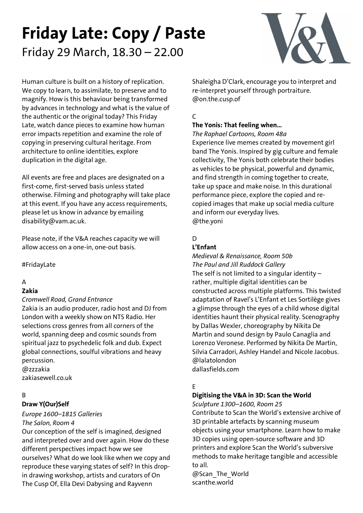# **Friday Late: Copy / Paste** Friday 29 March, 18.30 – 22.00



Human culture is built on a history of replication. We copy to learn, to assimilate, to preserve and to magnify. How is this behaviour being transformed by advances in technology and what is the value of the authentic or the original today? This Friday Late, watch dance pieces to examine how human error impacts repetition and examine the role of copying in preserving cultural heritage. From architecture to online identities, explore duplication in the digital age.

All events are free and places are designated on a first-come, first-served basis unless stated otherwise. Filming and photography will take place at this event. If you have any access requirements, please let us know in advance by emailing disability@vam.ac.uk.

Please note, if the V&A reaches capacity we will allow access on a one-in, one-out basis.

#FridayLate

# A

#### **Zakia**

*Cromwell Road, Grand Entrance*

Zakia is an audio producer, radio host and DJ from London with a weekly show on NTS Radio. Her selections cross genres from all corners of the world, spanning deep and cosmic sounds from spiritual jazz to psychedelic folk and dub. Expect global connections, soulful vibrations and heavy percussion. @zzzakia

zakiasewell.co.uk

# B

# **Draw Y(Our)Self**

*Europe 1600–1815 Galleries The Salon, Room 4*

Our conception of the self is imagined, designed and interpreted over and over again. How do these different perspectives impact how we see ourselves? What do we look like when we copy and reproduce these varying states of self? In this dropin drawing workshop, artists and curators of On The Cusp Of, Ella Devi Dabysing and Rayvenn

Shaleigha D'Clark, encourage you to interpret and re-interpret yourself through portraiture. @on.the.cusp.of

# C

# **The Yonis: That feeling when…**

*The Raphael Cartoons, Room 48a*

Experience live memes created by movement girl band The Yonis. Inspired by gig culture and female collectivity, The Yonis both celebrate their bodies as vehicles to be physical, powerful and dynamic, and find strength in coming together to create, take up space and make noise. In this durational performance piece, explore the copied and recopied images that make up social media culture and inform our everyday lives. @the.yoni

# $\overline{D}$

## **L'Enfant**

*Medieval & Renaissance, Room 50b The Paul and Jill Ruddock Gallery* The self is not limited to a singular identity  $$ rather, multiple digital identities can be constructed across multiple platforms. This twisted adaptation of Ravel's L'Enfant et Les Sortilège gives a glimpse through the eyes of a child whose digital identities haunt their physical reality. Scenography by Dallas Wexler, choreography by Nikita De Martin and sound design by Paulo Canaglia and Lorenzo Veronese. Performed by Nikita De Martin, Silvia Carradori, Ashley Handel and Nicole Jacobus. @lalatolondon dallasfields.com

# E

# **Digitising the V&A in 3D: Scan the World**

*Sculpture 1300–1600, Room 25* Contribute to Scan the World's extensive archive of 3D printable artefacts by scanning museum objects using your smartphone. Learn how to make 3D copies using open-source software and 3D printers and explore Scan the World's subversive methods to make heritage tangible and accessible to all.

@Scan\_The\_World scanthe.world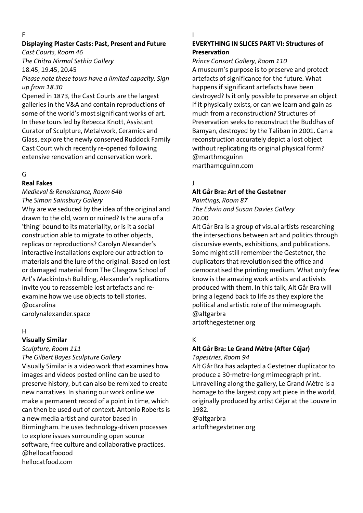#### F

## **Displaying Plaster Casts: Past, Present and Future**

*Cast Courts, Room 46 The Chitra Nirmal Sethia Gallery* 

18.45, 19.45, 20.45

*Please note these tours have a limited capacity. Sign up from 18.30*

Opened in 1873, the Cast Courts are the largest galleries in the V&A and contain reproductions of some of the world's most significant works of art. In these tours led by Rebecca Knott, Assistant Curator of Sculpture, Metalwork, Ceramics and Glass, explore the newly conserved Ruddock Family Cast Court which recently re-opened following extensive renovation and conservation work.

## G

## **Real Fakes**

# *Medieval & Renaissance, Room 64b The Simon Sainsbury Gallery*

Why are we seduced by the idea of the original and drawn to the old, worn or ruined? Is the aura of a 'thing' bound to its materiality, or is it a social construction able to migrate to other objects, replicas or reproductions? Carolyn Alexander's interactive installations explore our attraction to materials and the lure of the original. Based on lost or damaged material from The Glasgow School of Art's Mackintosh Building, Alexander's replications invite you to reassemble lost artefacts and reexamine how we use objects to tell stories. @ocarolina carolynalexander.space

## H

## **Visually Similar**

*Sculpture, Room 111*

*The Gilbert Bayes Sculpture Gallery*

Visually Similar is a video work that examines how images and videos posted online can be used to preserve history, but can also be remixed to create new narratives. In sharing our work online we make a permanent record of a point in time, which can then be used out of context. Antonio Roberts is a new media artist and curator based in Birmingham. He uses technology-driven processes to explore issues surrounding open source software, free culture and collaborative practices. @hellocatfooood hellocatfood.com

#### I

#### **EVERYTHING IN SLICES PART VI: Structures of Preservation**

*Prince Consort Gallery, Room 110* 

A museum's purpose is to preserve and protect artefacts of significance for the future. What happens if significant artefacts have been destroyed? Is it only possible to preserve an object if it physically exists, or can we learn and gain as much from a reconstruction? Structures of Preservation seeks to reconstruct the Buddhas of Bamyan, destroyed by the Taliban in 2001. Can a reconstruction accurately depict a lost object without replicating its original physical form? @marthmcguinn marthamcguinn.com

# J

# **Alt Går Bra: Art of the Gestetner**

*Paintings, Room 87 The Edwin and Susan Davies Gallery* 20.00

Alt Går Bra is a group of visual artists researching the intersections between art and politics through discursive events, exhibitions, and publications. Some might still remember the Gestetner, the duplicators that revolutionised the office and democratised the printing medium. What only few know is the amazing work artists and activists produced with them. In this talk, Alt Går Bra will bring a legend back to life as they explore the political and artistic role of the mimeograph. @altgarbra

artofthegestetner.org

# K

# **Alt Går Bra: Le Grand Mètre (After Céjar)**

*Tapestries, Room 94*

Alt Går Bra has adapted a Gestetner duplicator to produce a 30-metre-long mimeograph print. Unravelling along the gallery, Le Grand Mètre is a homage to the largest copy art piece in the world, originally produced by artist Céjar at the Louvre in 1982.

@altgarbra artofthegestetner.org